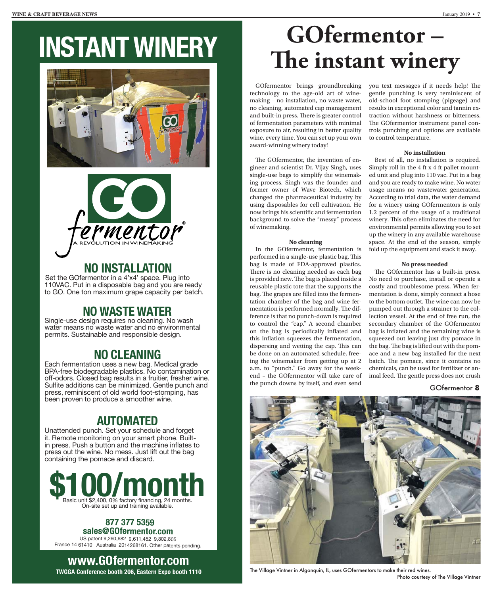# **INSTANT WINERY**





## **NO INSTALLATION**

Set the GOfermentor in a 4'x4' space. Plug into 110VAC. Put in a disposable bag and you are ready to GO. One ton maximum grape capacity per batch.

## **NO WASTE WATER**

Single-use design requires no cleaning. No wash water means no waste water and no environmental permits. Sustainable and responsible design.

### **NO CLEANING**

Each fermentation uses a new bag. Medical grade BPA-free biodegradable plastics. No contamination or off-odors. Closed bag results in a fruitier, fresher wine. Sulfite additions can be minimized. Gentle punch and press, reminiscent of old world foot-stomping, has been proven to produce a smoother wine.

## **AUTOMATED**

Unattended punch. Set your schedule and forget it. Remote monitoring on your smart phone. Builtin press. Push a button and the machine inflates to press out the wine. No mess. Just lift out the bag containing the pomace and discard.



#### **8877 377 5359 [sales@GOfermentor.com](mailto:sales@GOfermentor.c)**

US patent 9,260,682 9,611,452 9,802,805 France 14 61410 Australia 2014268161. Other patents pending.

**[www.GOfermentor.com](http://www.GOfermentor.com) TWGGA Conference booth 206, Eastern Expo booth 1110**

## **GOfermentor –** The instant winery

GOfermentor brings groundbreaking technology to the age-old art of winemaking – no installation, no waste water, no cleaning, automated cap management and built-in press. There is greater control of fermentation parameters with minimal exposure to air, resulting in better quality wine, every time. You can set up your own award-winning winery today!

The GOfermentor, the invention of engineer and scientist Dr. Vijay Singh, uses single-use bags to simplify the winemaking process. Singh was the founder and former owner of Wave Biotech, which changed the pharmaceutical industry by using disposables for cell cultivation. He now brings his scientific and fermentation background to solve the "messy" process of winemaking.

#### **No cleaning**

In the GOfermentor, fermentation is performed in a single-use plastic bag. This bag is made of FDA-approved plastics. There is no cleaning needed as each bag is provided new. The bag is placed inside a reusable plastic tote that the supports the bag. The grapes are filled into the fermentation chamber of the bag and wine fermentation is performed normally. The difference is that no punch-down is required to control the "cap." A second chamber on the bag is periodically inflated and this inflation squeezes the fermentation, dispersing and wetting the cap. This can be done on an automated schedule, freeing the winemaker from getting up at 2 a.m. to "punch." Go away for the weekend – the GOfermentor will take care of the punch downs by itself, and even send

you text messages if it needs help! The gentle punching is very reminiscent of old-school foot stomping (pigeage) and results in exceptional color and tannin extraction without harshness or bitterness. The GOfermentor instrument panel controls punching and options are available to control temperature.

#### **No installation**

Best of all, no installation is required. Simply roll in the 4 ft x 4 ft pallet mounted unit and plug into 110 vac. Put in a bag and you are ready to make wine. No water usage means no wastewater generation. According to trial data, the water demand for a winery using GOfermentors is only 1.2 percent of the usage of a traditional winery. This often eliminates the need for environmental permits allowing you to set up the winery in any available warehouse space. At the end of the season, simply fold up the equipment and stack it away.

#### **No press needed**

The GOfermentor has a built-in press. No need to purchase, install or operate a costly and troublesome press. When fermentation is done, simply connect a hose to the bottom outlet. The wine can now be pumped out through a strainer to the collection vessel. At the end of free run, the secondary chamber of the GOfermentor bag is inflated and the remaining wine is squeezed out leaving just dry pomace in the bag. The bag is lifted out with the pomace and a new bag installed for the next batch. The pomace, since it contains no chemicals, can be used for fertilizer or animal feed. The gentle press does not crush

#### GOfermentor 8



The Village Vintner in Algonquin, IL, uses GOfermentors to make their red wines. Photo courtesy of The Village Vintner